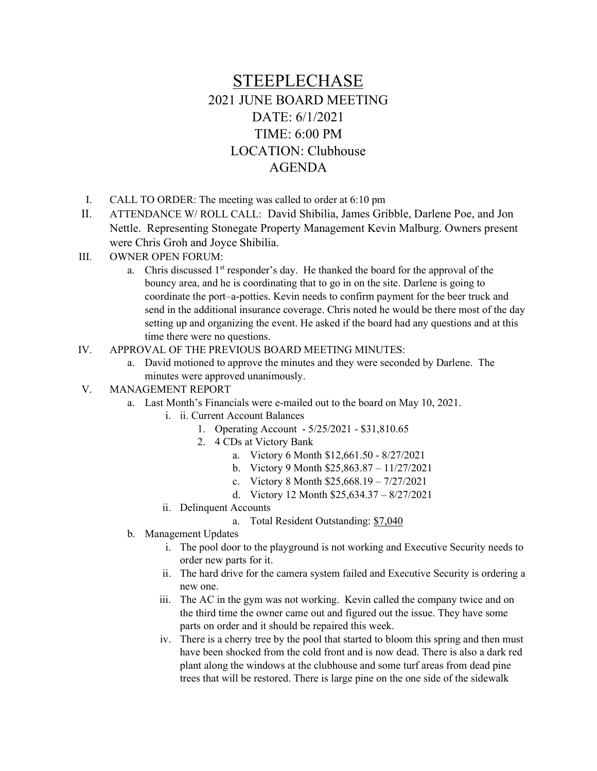## STEEPLECHASE 2021 JUNE BOARD MEETING DATE: 6/1/2021 TIME: 6:00 PM LOCATION: Clubhouse AGENDA

- I. CALL TO ORDER: The meeting was called to order at 6:10 pm
- II. ATTENDANCE W/ ROLL CALL: David Shibilia, James Gribble, Darlene Poe, and Jon Nettle. Representing Stonegate Property Management Kevin Malburg. Owners present were Chris Groh and Joyce Shibilia.
- III. OWNER OPEN FORUM:
	- a. Chris discussed  $1<sup>st</sup>$  responder's day. He thanked the board for the approval of the bouncy area, and he is coordinating that to go in on the site. Darlene is going to coordinate the port–a-potties. Kevin needs to confirm payment for the beer truck and send in the additional insurance coverage. Chris noted he would be there most of the day setting up and organizing the event. He asked if the board had any questions and at this time there were no questions.
- IV. APPROVAL OF THE PREVIOUS BOARD MEETING MINUTES:
	- a. David motioned to approve the minutes and they were seconded by Darlene. The minutes were approved unanimously.
- V. MANAGEMENT REPORT
	- a. Last Month's Financials were e-mailed out to the board on May 10, 2021.
		- i. ii. Current Account Balances
			- 1. Operating Account 5/25/2021 \$31,810.65
			- 2. 4 CDs at Victory Bank
				- a. Victory 6 Month \$12,661.50 8/27/2021
				- b. Victory 9 Month \$25,863.87 11/27/2021
				- c. Victory 8 Month \$25,668.19 7/27/2021
				- d. Victory 12 Month \$25,634.37 8/27/2021
		- ii. Delinquent Accounts
			- a. Total Resident Outstanding: \$7,040
	- b. Management Updates
		- i. The pool door to the playground is not working and Executive Security needs to order new parts for it.
		- ii. The hard drive for the camera system failed and Executive Security is ordering a new one.
		- iii. The AC in the gym was not working. Kevin called the company twice and on the third time the owner came out and figured out the issue. They have some parts on order and it should be repaired this week.
		- iv. There is a cherry tree by the pool that started to bloom this spring and then must have been shocked from the cold front and is now dead. There is also a dark red plant along the windows at the clubhouse and some turf areas from dead pine trees that will be restored. There is large pine on the one side of the sidewalk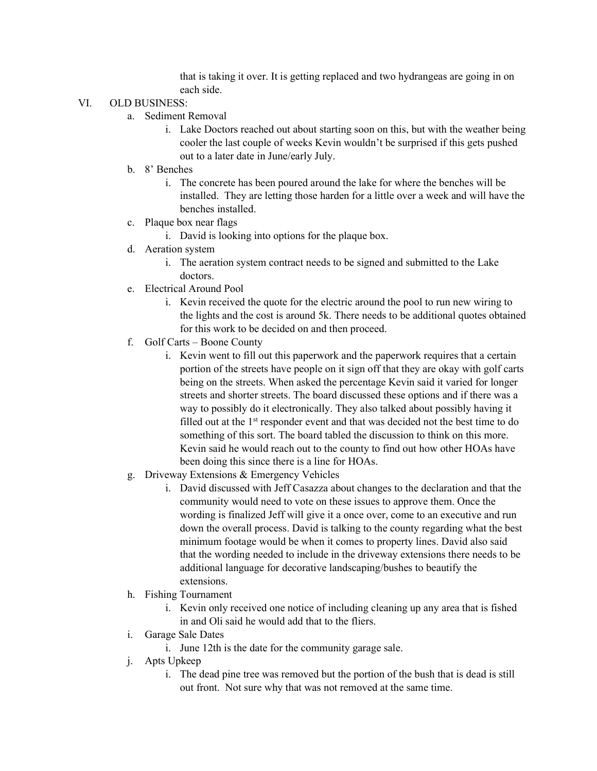that is taking it over. It is getting replaced and two hydrangeas are going in on each side.

## VI. OLD BUSINESS:

- a. Sediment Removal
	- i. Lake Doctors reached out about starting soon on this, but with the weather being cooler the last couple of weeks Kevin wouldn't be surprised if this gets pushed out to a later date in June/early July.
- b. 8' Benches
	- i. The concrete has been poured around the lake for where the benches will be installed. They are letting those harden for a little over a week and will have the benches installed.
- c. Plaque box near flags
	- i. David is looking into options for the plaque box.
- d. Aeration system
	- i. The aeration system contract needs to be signed and submitted to the Lake doctors.
- e. Electrical Around Pool
	- i. Kevin received the quote for the electric around the pool to run new wiring to the lights and the cost is around 5k. There needs to be additional quotes obtained for this work to be decided on and then proceed.
- f. Golf Carts Boone County
	- i. Kevin went to fill out this paperwork and the paperwork requires that a certain portion of the streets have people on it sign off that they are okay with golf carts being on the streets. When asked the percentage Kevin said it varied for longer streets and shorter streets. The board discussed these options and if there was a way to possibly do it electronically. They also talked about possibly having it filled out at the 1<sup>st</sup> responder event and that was decided not the best time to do something of this sort. The board tabled the discussion to think on this more. Kevin said he would reach out to the county to find out how other HOAs have been doing this since there is a line for HOAs.
- g. Driveway Extensions & Emergency Vehicles
	- i. David discussed with Jeff Casazza about changes to the declaration and that the community would need to vote on these issues to approve them. Once the wording is finalized Jeff will give it a once over, come to an executive and run down the overall process. David is talking to the county regarding what the best minimum footage would be when it comes to property lines. David also said that the wording needed to include in the driveway extensions there needs to be additional language for decorative landscaping/bushes to beautify the extensions.
- h. Fishing Tournament
	- i. Kevin only received one notice of including cleaning up any area that is fished in and Oli said he would add that to the fliers.
- i. Garage Sale Dates
	- i. June 12th is the date for the community garage sale.
- j. Apts Upkeep
	- i. The dead pine tree was removed but the portion of the bush that is dead is still out front. Not sure why that was not removed at the same time.